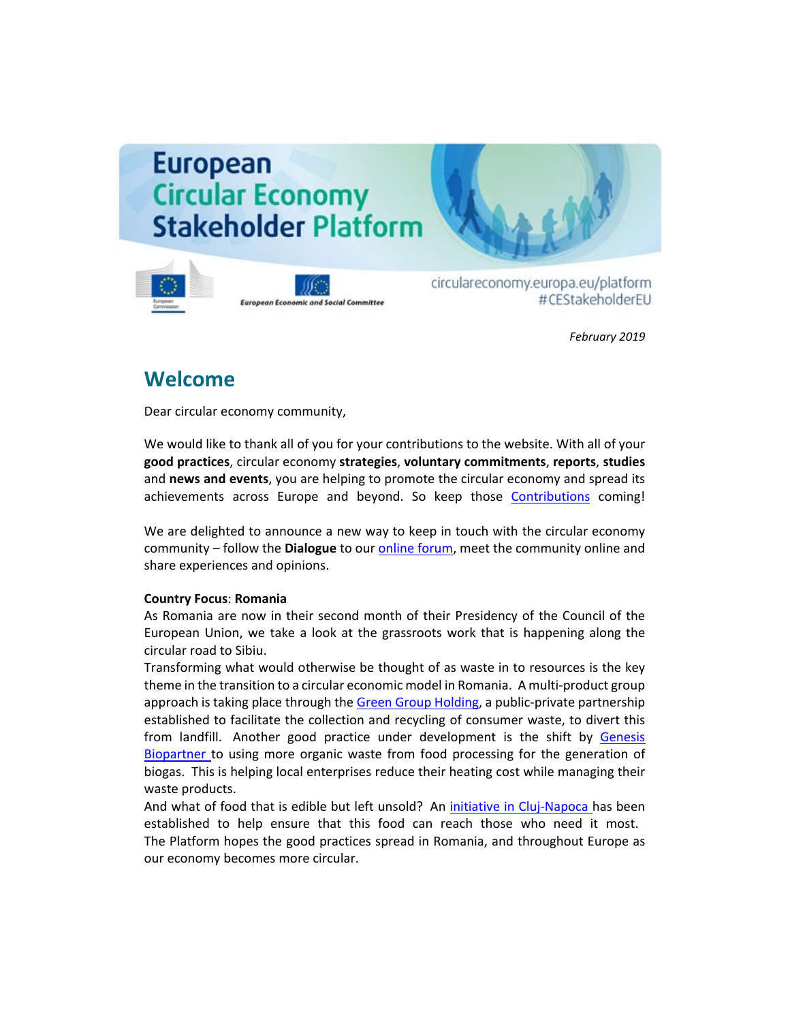# **European Circular Economy Stakeholder Platform**





circulareconomy.europa.eu/platform #CEStakeholderEU

*February 2019*

# **Welcome**

Dear circular economy community,

We would like to thank all of you for your contributions to the website. With all of your **good practices**, circular economy **strategies**, **voluntary commitments**, **reports**, **studies**  and **news and events**, you are helping to promote the circular economy and spread its achievements across Europe and beyond. So keep those [Contributions](http://cdlink2.eesc.europa.eu/c/4/?T=NzYyODI4NzE%3AcDEtYjE5MDQ0LWJlNDgxOGZjN2M0MTRiNmQ4OWI5ODkwNWE2MDUxMjkz%3AbGF1cmEuYnJvb21maWVsZEBlZXNjLmV1cm9wYS5ldQ%3AY29udGFjdC0zYzJhYzdkYmRlMDZlODExODExMzAwNTA1NmEwNDNlYS1hYTAzYTNmZDg1YmE0ODBjYTk0ZDczZTRhYTU3MDUzNw%3AZmFsc2U%3AMA%3A%3AaHR0cHM6Ly9jaXJjdWxhcmVjb25vbXkuZXVyb3BhLmV1L3BsYXRmb3JtL2VuL3N1Ym1pdC1jb250ZW50LTA_X2NsZGVlPWJHRjFjbUV1WW5KdmIyMW1hV1ZzWkVCbFpYTmpMbVYxY205d1lTNWxkUSUzZCUzZCZyZWNpcGllbnRpZD1jb250YWN0LTNjMmFjN2RiZGUwNmU4MTE4MTEzMDA1MDU2YTA0M2VhLWFhMDNhM2ZkODViYTQ4MGNhOTRkNzNlNGFhNTcwNTM3JmVzaWQ9ZTNjZWU4Y2QtYWUyYi1lOTExLTgxMTMtMDA1MDU2YTA0M2Vh&K=M6OURc0Kg0bnBh5OvvvU3A) coming!

We are delighted to announce a new way to keep in touch with the circular economy community – follow the **Dialogue** to our [online forum,](http://cdlink2.eesc.europa.eu/c/4/?T=NzYyODI4NzE%3AcDEtYjE5MDQ0LWJlNDgxOGZjN2M0MTRiNmQ4OWI5ODkwNWE2MDUxMjkz%3AbGF1cmEuYnJvb21maWVsZEBlZXNjLmV1cm9wYS5ldQ%3AY29udGFjdC0zYzJhYzdkYmRlMDZlODExODExMzAwNTA1NmEwNDNlYS1hYTAzYTNmZDg1YmE0ODBjYTk0ZDczZTRhYTU3MDUzNw%3AZmFsc2U%3AMQ%3A%3AaHR0cHM6Ly9jaXJjdWxhcmVjb25vbXkuZXVyb3BhLmV1L3BsYXRmb3JtL2ZyL2RpYWxvZ3VlL2Rpc2N1c3Npb25zP19jbGRlZT1iR0YxY21FdVluSnZiMjFtYVdWc1pFQmxaWE5qTG1WMWNtOXdZUzVsZFElM2QlM2QmcmVjaXBpZW50aWQ9Y29udGFjdC0zYzJhYzdkYmRlMDZlODExODExMzAwNTA1NmEwNDNlYS1hYTAzYTNmZDg1YmE0ODBjYTk0ZDczZTRhYTU3MDUzNyZlc2lkPWUzY2VlOGNkLWFlMmItZTkxMS04MTEzLTAwNTA1NmEwNDNlYQ&K=6lZvfzLOYG8Wmwk2H1MTvg) meet the community online and share experiences and opinions.

### **Country Focus**: **Romania**

As Romania are now in their second month of their Presidency of the Council of the European Union, we take a look at the grassroots work that is happening along the circular road to Sibiu.

Transforming what would otherwise be thought of as waste in to resources is the key theme in the transition to a circular economic model in Romania. A multi-product group approach is taking place through th[e Green Group Holding,](http://cdlink2.eesc.europa.eu/c/4/?T=NzYyODI4NzE%3AcDEtYjE5MDQ0LWJlNDgxOGZjN2M0MTRiNmQ4OWI5ODkwNWE2MDUxMjkz%3AbGF1cmEuYnJvb21maWVsZEBlZXNjLmV1cm9wYS5ldQ%3AY29udGFjdC0zYzJhYzdkYmRlMDZlODExODExMzAwNTA1NmEwNDNlYS1hYTAzYTNmZDg1YmE0ODBjYTk0ZDczZTRhYTU3MDUzNw%3AZmFsc2U%3AMg%3A%3AaHR0cHM6Ly9jaXJjdWxhcmVjb25vbXkuZXVyb3BhLmV1L3BsYXRmb3JtL2VuL2dvb2QtcHJhY3RpY2VzL3RyYW5zZm9ybWluZy13YXN0ZS1yZXNvdXJjZXM_X2NsZGVlPWJHRjFjbUV1WW5KdmIyMW1hV1ZzWkVCbFpYTmpMbVYxY205d1lTNWxkUSUzZCUzZCZyZWNpcGllbnRpZD1jb250YWN0LTNjMmFjN2RiZGUwNmU4MTE4MTEzMDA1MDU2YTA0M2VhLWFhMDNhM2ZkODViYTQ4MGNhOTRkNzNlNGFhNTcwNTM3JmVzaWQ9ZTNjZWU4Y2QtYWUyYi1lOTExLTgxMTMtMDA1MDU2YTA0M2Vh&K=UVzItEOg_JnRm0OfpzrgRQ) a public-private partnership established to facilitate the collection and recycling of consumer waste, to divert this from landfill. Another good practice under development is the shift by [Genesis](http://cdlink2.eesc.europa.eu/c/4/?T=NzYyODI4NzE%3AcDEtYjE5MDQ0LWJlNDgxOGZjN2M0MTRiNmQ4OWI5ODkwNWE2MDUxMjkz%3AbGF1cmEuYnJvb21maWVsZEBlZXNjLmV1cm9wYS5ldQ%3AY29udGFjdC0zYzJhYzdkYmRlMDZlODExODExMzAwNTA1NmEwNDNlYS1hYTAzYTNmZDg1YmE0ODBjYTk0ZDczZTRhYTU3MDUzNw%3AZmFsc2U%3AMw%3A%3AaHR0cHM6Ly9jaXJjdWxhcmVjb25vbXkuZXVyb3BhLmV1L3BsYXRmb3JtL2VuL2dvb2QtcHJhY3RpY2VzL3R1cm5pbmctd2FzdGUtZW5lcmd5LWNvLWdlbmVyYXRpb24tdXNpbmctYmlvbWFzcz9fY2xkZWU9YkdGMWNtRXVZbkp2YjIxbWFXVnNaRUJsWlhOakxtVjFjbTl3WVM1bGRRJTNkJTNkJnJlY2lwaWVudGlkPWNvbnRhY3QtM2MyYWM3ZGJkZTA2ZTgxMTgxMTMwMDUwNTZhMDQzZWEtYWEwM2EzZmQ4NWJhNDgwY2E5NGQ3M2U0YWE1NzA1MzcmZXNpZD1lM2NlZThjZC1hZTJiLWU5MTEtODExMy0wMDUwNTZhMDQzZWE&K=i4DySobjjea1nEBH99LiPg)  [Biopartner t](http://cdlink2.eesc.europa.eu/c/4/?T=NzYyODI4NzE%3AcDEtYjE5MDQ0LWJlNDgxOGZjN2M0MTRiNmQ4OWI5ODkwNWE2MDUxMjkz%3AbGF1cmEuYnJvb21maWVsZEBlZXNjLmV1cm9wYS5ldQ%3AY29udGFjdC0zYzJhYzdkYmRlMDZlODExODExMzAwNTA1NmEwNDNlYS1hYTAzYTNmZDg1YmE0ODBjYTk0ZDczZTRhYTU3MDUzNw%3AZmFsc2U%3AMw%3A%3AaHR0cHM6Ly9jaXJjdWxhcmVjb25vbXkuZXVyb3BhLmV1L3BsYXRmb3JtL2VuL2dvb2QtcHJhY3RpY2VzL3R1cm5pbmctd2FzdGUtZW5lcmd5LWNvLWdlbmVyYXRpb24tdXNpbmctYmlvbWFzcz9fY2xkZWU9YkdGMWNtRXVZbkp2YjIxbWFXVnNaRUJsWlhOakxtVjFjbTl3WVM1bGRRJTNkJTNkJnJlY2lwaWVudGlkPWNvbnRhY3QtM2MyYWM3ZGJkZTA2ZTgxMTgxMTMwMDUwNTZhMDQzZWEtYWEwM2EzZmQ4NWJhNDgwY2E5NGQ3M2U0YWE1NzA1MzcmZXNpZD1lM2NlZThjZC1hZTJiLWU5MTEtODExMy0wMDUwNTZhMDQzZWE&K=i4DySobjjea1nEBH99LiPg)o using more organic waste from food processing for the generation of biogas. This is helping local enterprises reduce their heating cost while managing their waste products.

And what of food that is edible but left unsold? An [initiative in Cluj-Napoca h](http://cdlink2.eesc.europa.eu/c/4/?T=NzYyODI4NzE%3AcDEtYjE5MDQ0LWJlNDgxOGZjN2M0MTRiNmQ4OWI5ODkwNWE2MDUxMjkz%3AbGF1cmEuYnJvb21maWVsZEBlZXNjLmV1cm9wYS5ldQ%3AY29udGFjdC0zYzJhYzdkYmRlMDZlODExODExMzAwNTA1NmEwNDNlYS1hYTAzYTNmZDg1YmE0ODBjYTk0ZDczZTRhYTU3MDUzNw%3AZmFsc2U%3ANA%3A%3AaHR0cHM6Ly9jaXJjdWxhcmVjb25vbXkuZXVyb3BhLmV1L3BsYXRmb3JtL2VuL2dvb2QtcHJhY3RpY2VzL3Byb3ZpZGluZy10aG9zZS1uZWVkLWZvb2Qtd2Utd2FzdGUtZm9vZC13YXN0ZS1jbHVqLWxlYWRpbmctcGFjay1zb2Npby1jaXJjdWxhci1pbm5vdmF0aW9uLXJvbWFuaWE_X2NsZGVlPWJHRjFjbUV1WW5KdmIyMW1hV1ZzWkVCbFpYTmpMbVYxY205d1lTNWxkUSUzZCUzZCZyZWNpcGllbnRpZD1jb250YWN0LTNjMmFjN2RiZGUwNmU4MTE4MTEzMDA1MDU2YTA0M2VhLWFhMDNhM2ZkODViYTQ4MGNhOTRkNzNlNGFhNTcwNTM3JmVzaWQ9ZTNjZWU4Y2QtYWUyYi1lOTExLTgxMTMtMDA1MDU2YTA0M2Vh&K=zaoByrWHDV2p-6_FFOzllg)as been established to help ensure that this food can reach those who need it most. The Platform hopes the good practices spread in Romania, and throughout Europe as our economy becomes more circular.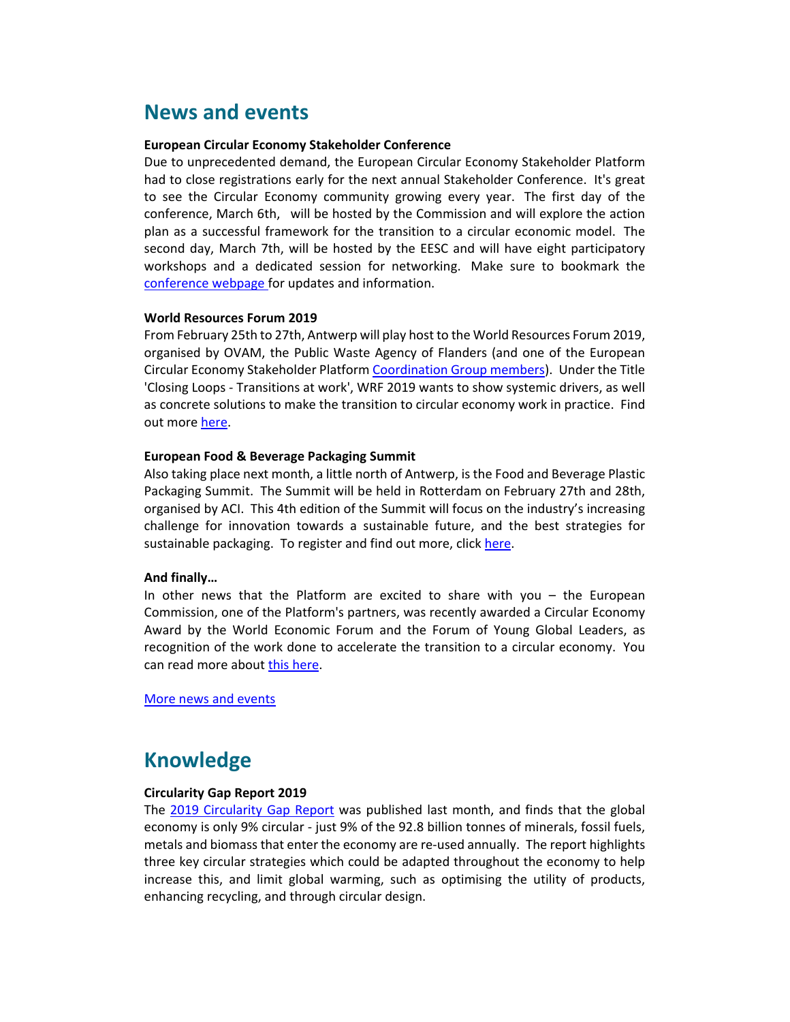## **News and events**

#### **European Circular Economy Stakeholder Conference**

Due to unprecedented demand, the European Circular Economy Stakeholder Platform had to close registrations early for the next annual Stakeholder Conference. It's great to see the Circular Economy community growing every year. The first day of the conference, March 6th, will be hosted by the Commission and will explore the action plan as a successful framework for the transition to a circular economic model. The second day, March 7th, will be hosted by the EESC and will have eight participatory workshops and a dedicated session for networking. Make sure to bookmark the [conference webpage f](http://cdlink2.eesc.europa.eu/c/4/?T=NzYyODI4NzE%3AcDEtYjE5MDQ0LWJlNDgxOGZjN2M0MTRiNmQ4OWI5ODkwNWE2MDUxMjkz%3AbGF1cmEuYnJvb21maWVsZEBlZXNjLmV1cm9wYS5ldQ%3AY29udGFjdC0zYzJhYzdkYmRlMDZlODExODExMzAwNTA1NmEwNDNlYS1hYTAzYTNmZDg1YmE0ODBjYTk0ZDczZTRhYTU3MDUzNw%3AZmFsc2U%3ANQ%3A%3AaHR0cHM6Ly9jaXJjdWxhcmVjb25vbXkuZXVyb3BhLmV1L3BsYXRmb3JtL2VuLzIwMTktY2lyY3VsYXItZWNvbm9teS1zdGFrZWhvbGRlci1jb25mZXJlbmNlLXN1Y2Nlc3Mtc3Rvcmllcy1hbmQtbmV3LWNoYWxsZW5nZXM_X2NsZGVlPWJHRjFjbUV1WW5KdmIyMW1hV1ZzWkVCbFpYTmpMbVYxY205d1lTNWxkUSUzZCUzZCZyZWNpcGllbnRpZD1jb250YWN0LTNjMmFjN2RiZGUwNmU4MTE4MTEzMDA1MDU2YTA0M2VhLWFhMDNhM2ZkODViYTQ4MGNhOTRkNzNlNGFhNTcwNTM3JmVzaWQ9ZTNjZWU4Y2QtYWUyYi1lOTExLTgxMTMtMDA1MDU2YTA0M2Vh&K=ehGysdYX-0Ga_Xo8cn2Bdg)or updates and information.

#### **World Resources Forum 2019**

From February 25th to 27th, Antwerp will play host to the World Resources Forum 2019, organised by OVAM, the Public Waste Agency of Flanders (and one of the European Circular Economy Stakeholder Platform [Coordination Group members\)](http://cdlink2.eesc.europa.eu/c/4/?T=NzYyODI4NzE%3AcDEtYjE5MDQ0LWJlNDgxOGZjN2M0MTRiNmQ4OWI5ODkwNWE2MDUxMjkz%3AbGF1cmEuYnJvb21maWVsZEBlZXNjLmV1cm9wYS5ldQ%3AY29udGFjdC0zYzJhYzdkYmRlMDZlODExODExMzAwNTA1NmEwNDNlYS1hYTAzYTNmZDg1YmE0ODBjYTk0ZDczZTRhYTU3MDUzNw%3AZmFsc2U%3ANg%3A%3AaHR0cHM6Ly9jaXJjdWxhcmVjb25vbXkuZXVyb3BhLmV1L3BsYXRmb3JtL2VuL2RpYWxvZ3VlL2NnLW5hbWVzLWNvbnRhY3RzP19jbGRlZT1iR0YxY21FdVluSnZiMjFtYVdWc1pFQmxaWE5qTG1WMWNtOXdZUzVsZFElM2QlM2QmcmVjaXBpZW50aWQ9Y29udGFjdC0zYzJhYzdkYmRlMDZlODExODExMzAwNTA1NmEwNDNlYS1hYTAzYTNmZDg1YmE0ODBjYTk0ZDczZTRhYTU3MDUzNyZlc2lkPWUzY2VlOGNkLWFlMmItZTkxMS04MTEzLTAwNTA1NmEwNDNlYQ&K=ONDiyIs-JAmxUjQmjS2_qA). Under the Title 'Closing Loops - Transitions at work', WRF 2019 wants to show systemic drivers, as well as concrete solutions to make the transition to circular economy work in practice. Find out more [here.](http://cdlink2.eesc.europa.eu/c/4/?T=NzYyODI4NzE%3AcDEtYjE5MDQ0LWJlNDgxOGZjN2M0MTRiNmQ4OWI5ODkwNWE2MDUxMjkz%3AbGF1cmEuYnJvb21maWVsZEBlZXNjLmV1cm9wYS5ldQ%3AY29udGFjdC0zYzJhYzdkYmRlMDZlODExODExMzAwNTA1NmEwNDNlYS1hYTAzYTNmZDg1YmE0ODBjYTk0ZDczZTRhYTU3MDUzNw%3AZmFsc2U%3ANw%3A%3AaHR0cHM6Ly9jaXJjdWxhcmVjb25vbXkuZXVyb3BhLmV1L3BsYXRmb3JtL2VuL25ld3MtYW5kLWV2ZW50cy9hbGwtZXZlbnRzL3NhdmUtZGF0ZS13b3JsZC1yZXNvdXJjZXMtZm9ydW0tMjAxOS1jbG9zaW5nLWxvb3BzLXRyYW5zaXRpb25zLXdvcms_X2NsZGVlPWJHRjFjbUV1WW5KdmIyMW1hV1ZzWkVCbFpYTmpMbVYxY205d1lTNWxkUSUzZCUzZCZyZWNpcGllbnRpZD1jb250YWN0LTNjMmFjN2RiZGUwNmU4MTE4MTEzMDA1MDU2YTA0M2VhLWFhMDNhM2ZkODViYTQ4MGNhOTRkNzNlNGFhNTcwNTM3JmVzaWQ9ZTNjZWU4Y2QtYWUyYi1lOTExLTgxMTMtMDA1MDU2YTA0M2Vh&K=IEtUF_LmBXvkIuzIFR3M0g)

### **European Food & Beverage Packaging Summit**

Also taking place next month, a little north of Antwerp, is the Food and Beverage Plastic Packaging Summit. The Summit will be held in Rotterdam on February 27th and 28th, organised by ACI. This 4th edition of the Summit will focus on the industry's increasing challenge for innovation towards a sustainable future, and the best strategies for sustainable packaging. To register and find out more, clic[k here.](http://cdlink2.eesc.europa.eu/c/4/?T=NzYyODI4NzE%3AcDEtYjE5MDQ0LWJlNDgxOGZjN2M0MTRiNmQ4OWI5ODkwNWE2MDUxMjkz%3AbGF1cmEuYnJvb21maWVsZEBlZXNjLmV1cm9wYS5ldQ%3AY29udGFjdC0zYzJhYzdkYmRlMDZlODExODExMzAwNTA1NmEwNDNlYS1hYTAzYTNmZDg1YmE0ODBjYTk0ZDczZTRhYTU3MDUzNw%3AZmFsc2U%3AOA%3A%3AaHR0cHM6Ly9jaXJjdWxhcmVjb25vbXkuZXVyb3BhLmV1L3BsYXRmb3JtL2VuL25ld3MtYW5kLWV2ZW50cy9hbGwtZXZlbnRzL2Zvb2QtYmV2ZXJhZ2UtcGxhc3RpYy1wYWNrYWdpbmctc3VtbWl0LWxhdGVzdC1pbm5vdmF0aW9ucy1hbmQtc3VzdGFpbmFibGUtdGVjaG5vbG9naWVzP19jbGRlZT1iR0YxY21FdVluSnZiMjFtYVdWc1pFQmxaWE5qTG1WMWNtOXdZUzVsZFElM2QlM2QmcmVjaXBpZW50aWQ9Y29udGFjdC0zYzJhYzdkYmRlMDZlODExODExMzAwNTA1NmEwNDNlYS1hYTAzYTNmZDg1YmE0ODBjYTk0ZDczZTRhYTU3MDUzNyZlc2lkPWUzY2VlOGNkLWFlMmItZTkxMS04MTEzLTAwNTA1NmEwNDNlYQ&K=rz8JBi70tmdnLdD_AhndMw)

### **And finally…**

In other news that the Platform are excited to share with you – the European Commission, one of the Platform's partners, was recently awarded a Circular Economy Award by the World Economic Forum and the Forum of Young Global Leaders, as recognition of the work done to accelerate the transition to a circular economy. You can read more about [this here.](http://cdlink2.eesc.europa.eu/c/4/?T=NzYyODI4NzE%3AcDEtYjE5MDQ0LWJlNDgxOGZjN2M0MTRiNmQ4OWI5ODkwNWE2MDUxMjkz%3AbGF1cmEuYnJvb21maWVsZEBlZXNjLmV1cm9wYS5ldQ%3AY29udGFjdC0zYzJhYzdkYmRlMDZlODExODExMzAwNTA1NmEwNDNlYS1hYTAzYTNmZDg1YmE0ODBjYTk0ZDczZTRhYTU3MDUzNw%3AZmFsc2U%3AOQ%3A%3AaHR0cHM6Ly9lYy5ldXJvcGEuZXUvaW5mby9uZXdzL3dvcmxkLWVjb25vbWljLWZvcnVtLXJlY29nbmlzZXMtZXVyb3BlYW4tY29tbWlzc2lvbi1jaGFtcGlvbi1jaXJjdWxhci1lY29ub215LTIwMTktamFuLTIyLTBfZW4_X2NsZGVlPWJHRjFjbUV1WW5KdmIyMW1hV1ZzWkVCbFpYTmpMbVYxY205d1lTNWxkUSUzZCUzZCZyZWNpcGllbnRpZD1jb250YWN0LTNjMmFjN2RiZGUwNmU4MTE4MTEzMDA1MDU2YTA0M2VhLWFhMDNhM2ZkODViYTQ4MGNhOTRkNzNlNGFhNTcwNTM3JmVzaWQ9ZTNjZWU4Y2QtYWUyYi1lOTExLTgxMTMtMDA1MDU2YTA0M2Vh&K=Ji2ChSOU4jn2qGhLlLUZFg)

More [news and events](http://cdlink2.eesc.europa.eu/c/4/?T=NzYyODI4NzE%3AcDEtYjE5MDQ0LWJlNDgxOGZjN2M0MTRiNmQ4OWI5ODkwNWE2MDUxMjkz%3AbGF1cmEuYnJvb21maWVsZEBlZXNjLmV1cm9wYS5ldQ%3AY29udGFjdC0zYzJhYzdkYmRlMDZlODExODExMzAwNTA1NmEwNDNlYS1hYTAzYTNmZDg1YmE0ODBjYTk0ZDczZTRhYTU3MDUzNw%3AZmFsc2U%3AMTA%3A%3AaHR0cHM6Ly9jaXJjdWxhcmVjb25vbXkuZXVyb3BhLmV1L3BsYXRmb3JtL2VuL25ld3MtYW5kLWV2ZW50cz9fY2xkZWU9YkdGMWNtRXVZbkp2YjIxbWFXVnNaRUJsWlhOakxtVjFjbTl3WVM1bGRRJTNkJTNkJnJlY2lwaWVudGlkPWNvbnRhY3QtM2MyYWM3ZGJkZTA2ZTgxMTgxMTMwMDUwNTZhMDQzZWEtYzMzNWMyNDg4MTMyNDZlZWJhZDk2N2YzNWI5Njg4Y2UmZXNpZD0wNmMzZTA3Ny0xZWZhLWU4MTEtODExMy0wMDUwNTZhMDQzZWEmdXJsaWQ9MTAmX2NsZGVlPWJHRjFjbUV1WW5KdmIyMW1hV1ZzWkVCbFpYTmpMbVYxY205d1lTNWxkUSUzZCUzZCZyZWNpcGllbnRpZD1jb250YWN0LTNjMmFjN2RiZGUwNmU4MTE4MTEzMDA1MDU2YTA0M2VhLWFhMDNhM2ZkODViYTQ4MGNhOTRkNzNlNGFhNTcwNTM3JmVzaWQ9ZTNjZWU4Y2QtYWUyYi1lOTExLTgxMTMtMDA1MDU2YTA0M2Vh&K=_9M2-ov_ILXIOgG7gdg_5g)

# **Knowledge**

#### **Circularity Gap Report 2019**

The [2019 Circularity Gap Report](http://cdlink2.eesc.europa.eu/c/4/?T=NzYyODI4NzE%3AcDEtYjE5MDQ0LWJlNDgxOGZjN2M0MTRiNmQ4OWI5ODkwNWE2MDUxMjkz%3AbGF1cmEuYnJvb21maWVsZEBlZXNjLmV1cm9wYS5ldQ%3AY29udGFjdC0zYzJhYzdkYmRlMDZlODExODExMzAwNTA1NmEwNDNlYS1hYTAzYTNmZDg1YmE0ODBjYTk0ZDczZTRhYTU3MDUzNw%3AZmFsc2U%3AMTE%3A%3AaHR0cHM6Ly93d3cuY2lyY3VsYXJpdHktZ2FwLndvcmxkLz9fY2xkZWU9YkdGMWNtRXVZbkp2YjIxbWFXVnNaRUJsWlhOakxtVjFjbTl3WVM1bGRRJTNkJTNkJnJlY2lwaWVudGlkPWNvbnRhY3QtM2MyYWM3ZGJkZTA2ZTgxMTgxMTMwMDUwNTZhMDQzZWEtYWEwM2EzZmQ4NWJhNDgwY2E5NGQ3M2U0YWE1NzA1MzcmZXNpZD1lM2NlZThjZC1hZTJiLWU5MTEtODExMy0wMDUwNTZhMDQzZWE&K=XLgNKK7L5tvf-ctPETHeaQ) was published last month, and finds that the global economy is only 9% circular - just 9% of the 92.8 billion tonnes of minerals, fossil fuels, metals and biomass that enter the economy are re-used annually. The report highlights three key circular strategies which could be adapted throughout the economy to help increase this, and limit global warming, such as optimising the utility of products, enhancing recycling, and through circular design.